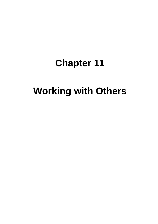# **Chapter 11**

# **Working with Others**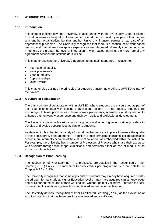# **11. WORKING WITH OTHERS**

# **11.1 Introduction**

This chapter outlines how the University, in accordance with the UK Quality Code of Higher Education, ensures the quality of arrangements for students who study as part of their degree with another organisation, be that another University, industry partner or as part of an apprenticeship scheme. The University recognises that there is a continuum of work-based learning and that different workplace experiences are integrated differently into the curricula. In general, the greater the level of integration in work-based learning, the more formal any agreement between the stakeholders will be.

This chapter outlines the University's approach to maintain standards in relation to:

- International Mobility
- Work placements
- Year in Industry
- Apprenticeships
- Joint Awards

This chapter also outlines the principles for students transferring credits to UWTSD as part of their award.

# **11.2 A culture of collaboration**

There is a culture of collaboration within UWTSD, where students are encouraged as part of their course to engage with outside organisations as part of their studies. Students are encouraged to take opportunities in terms of work placements, internships, or study abroad to enhance their university experience and their own skills and professional development.

The University works with various industry groups and other higher education providers to develop and evolve opportunities available to students.

As detailed in this chapter, a variety of formal mechanisms are in place to ensure the quality of these collaborative engagements. In addition to such formal mechanisms, collaboration also occurs more informally because of the culture of collaboration embedded within the institution. For example, the University has a number of Professors of Practice who share their expertise with students through workshops, exhibitions, and seminars either as part of module or as extracurricular activities.

#### **11.3 Recognition of Prior Learning**

The Recognition of Prior Learning (RPL) processes are detailed in the Recognition of Prior Learning (RPL) Policy. The maximum transfer credits per programme type are detailed in Chapter 6.3.2 (11-13).

The University recognises that some applicants or students may already have acquired credits based upon formal study at Higher Education level or may have acquired similar knowledge and skills during the course of their working life, whether paid or voluntary. Through the RPL process the University recognises both certificated and experiential learning.

The University defines Recognition of Prior Certificated Learning (RPCL) as the evaluation of acquired learning that has been previously assessed and certificated.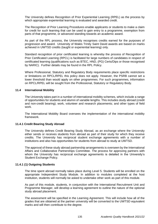The University defines Recognition of Prior Experiential Learning (RPEL) as the process by which appropriate experiential learning is evaluated and awarded credit.

The Recognition of Prior Learning Procedures enable applicants or students to make a claim for credit for such learning that can be used to gain entry to a programme, exemption from parts of that programme, or advanced standing towards an academic award.

As part of the RPL process, the University recognises credits earned for the purposes of progression and award. University of Wales Trinity Saint David awards are based on marks achieved in UWTSD credits (taught or experiential learning) only.

Standard recognition of prior certificated learning is whereby the process of Recognition of Prior Certificated Learning (RPCL) is facilitated for large numbers of candidates in respect of certificated learning (qualifications such as BTEC, HND, (PG) Certs/Dips or those recognised by NARIC). Further details may be found in the RPL Policy.

Where Professional, Statutory and Regulatory Body requirements place specific restrictions or limitations on RPCL/RPEL this policy does not apply. However, the PSRB cannot set a lower threshold than would apply on other programmes. For such programmes, information on RPCL/RPEL will be sought from the Professional, Statutory or Regulatory Body.

# **11.4 International Mobility**

The University takes part in a number of international mobility schemes, which include a range of opportunities for students and alumni of variable lengths. This includes study abroad (credit and non-credit bearing); work, volunteer and research placements; and other types of field work.

The International Mobility Board oversees the implementation of the international mobility framework.

#### **11.4.1 Credit Bearing Study Abroad**

The University defines Credit Bearing Study Abroad, as an exchange where the University either sends or receives students from abroad as part of their study for which they receive credits. The University has reciprocal student exchange agreements with a number of institutions and also has opportunities for students from abroad to study at UWTSD.

The approval of these study abroad partnership arrangements is overseen by the International Affairs and Collaborative Partnerships Committee. The process for approving partners with whom the University has reciprocal exchange agreements is detailed in the University's Student Exchange Policy.

#### **11.4.1 (1) Outgoing Students**

The time spent abroad normally takes place during Level 5. Students will be enrolled on the appropriate Independent Study Module. In addition to modules completed at the host institution, students will normally be asked to undertake other work as part of this module.

As part of this module, students, in conjunction with the International Recruitment Unit and Programme Manager, will develop a learning agreement to outline the nature of the optional study abroad placement.

The assessment will be specified in the Learning Agreement. This will include how all of the grades that are obtained at the partner university will be converted to the UWTSD equivalent marks and will then contribute to the degree.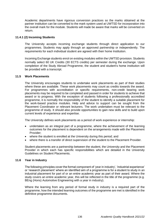Academic departments have rigorous conversion practices so the marks obtained at the partner institution can be converted to the mark system used at UWTSD for incorporation into the overall mark for the module. Students will made be aware that marks will be converted on return.

# **11.4.1 (2) Incoming Students**

The University accepts incoming exchange students through direct application to our programmes. Students may apply through an approved partnership or independently. The requirements for each individual student are agreed with their home Institution.

Incoming Exchange students enrol on existing modules within the UWTSD provision. Students normally select 60 UK Credits (30 ECTS credits) per semester during the exchange. Upon completion of the Study Abroad Programme, the student and student's home institution will be provided with a transcript.

# **11.5 Work Placements**

The University encourages students to undertake work placements as part of their studies where these are available. These work placements may count as credits towards the award. For programmes with accreditation or specific requirements, non-credit bearing work placements may be required to be completed and passed in order for students to achieve that award or to progress. With the exception of students following a professionally accredited programme, it is normally the responsibility of the student to identify a suitable placement for the work-based practice modules. Help and advice to support can be sought from the Placement Coordinator or relevant lecturers. The work undertaken must be relevant to the programme of study. It should also provide opportunities to gain new skills and to build upon current levels of experience and expertise.

The University defines work placements as a period of work experience or internship:

- undertaken as an integral part of a programme, where the achievement of the learning outcomes for the placement is dependent on the arrangements made with the Placement Provider;
- where the student is enrolled at the University during this period; and
- where there is a transfer of direct supervision of the student to the Placement Provider.

Student placements are a partnership between the student, the University and the Placement Provider in which each has specific responsibilities which are detailed in the University Guidelines on Student Placements.

# **11.6 Year in Industry**

The following principles cover the formal component of 'year in industry', 'industrial experience' or 'research placement' where an identified aim of a programme is for a student to study in an industrial placement for part of or an entire academic year as part of their award. Where the study covers an entire academic year, this will be reflected in the title of the programme (e.g. BEng (Hons) Automotive Engineering with a year in industry).

Where the learning from any period of formal study in industry is a required part of the programme, how the intended learning outcomes of the programme are met is identified in the definitive programme documents.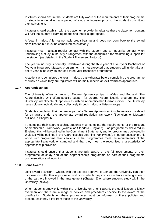Institutes should ensure that students are fully aware of the requirements of their programme of study in undertaking any period of study in industry prior to the student committing themselves to it.

Institutes should establish with the placement provider in advance that the placement content will fulfil the student's learning needs and that it is appropriate.

A 'year in industry' is not normally credit-bearing and does not contribute to the award classification but must be completed satisfactorily.

Institutes must maintain regular contact with the student and an industrial contact when undertaking a study in industry arrangement with the academic tutor maintaining support for the student (as detailed in the Student Placement Protocol).

The year in industry is normally undertaken during the third year of a four-year Bachelors or five-year Integrated Masters programme. It is not expected that students will undertake an entire year in industry as part of a three-year Bachelors programme.

A student who completes the year in industry but withdraws before completing the programme of study on which they are registered will normally receive an exit award as appropriate.

# **11.7 Apprenticeships**

The University offers a range of Degree Apprenticeships in Wales and England. The Apprenticeship Unit offers specific support for Degree Apprenticeship programmes. The University will allocate all apprentices with an Apprenticeship Liaison Officer. The University liaises closely individually and collectively through industrial liaison groups.

Students completing their degree as part of a Degree Apprenticeship scheme are considered for an award under the appropriate award regulation framework (Bachelors or Masters) outlined in Chapter 6.

To complete their apprenticeship, students must complete the requirements of the relevant Apprenticeship Framework (Wales) or Standard (England). For programmes delivered in England, this will be outlined in the Commitment Statement, and for programmes delivered in Wales, it will be outlined in the Apprenticeship Learning Plan (Wales). The Apprenticeship Unit works with programme teams to ensure that programmes meet the requirements of the appropriate framework or standard and that they meet the recognised characteristics of apprenticeship provision.

Institutes should ensure that students are fully aware of the full requirements of their programme of study and of the apprenticeship programme as part of their programme documentation and induction.

#### **11.8 Joint Awards**

Joint award provision – where, with the express approval of Senate, the University can offer joint awards with other appropriate institutions, which may involve students studying at each of the partners involved in the arrangement (Chapter 9) or where students study within the University (below).

When students study only within the University on a joint award, the qualification is jointly overseen and there are a range of policies and procedures specific to the award of the qualification. Students on these programmes must be informed of these policies and procedures if they differ from those of the University.